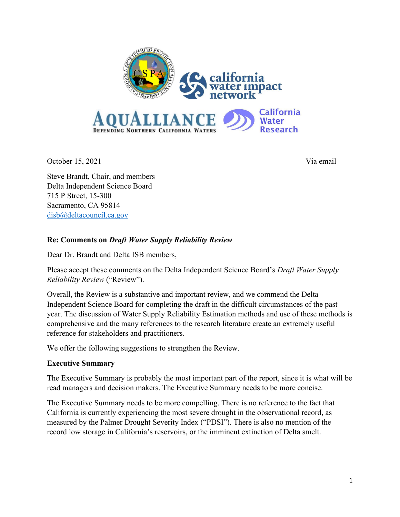

October 15, 2021 Via email

Steve Brandt, Chair, and members Delta Independent Science Board 715 P Street, 15-300 Sacramento, CA 95814 [disb@deltacouncil.ca.gov](mailto:disb@deltacouncil.ca.gov)

# **Re: Comments on** *Draft Water Supply Reliability Review*

Dear Dr. Brandt and Delta ISB members,

Please accept these comments on the Delta Independent Science Board's *Draft Water Supply Reliability Review* ("Review").

Overall, the Review is a substantive and important review, and we commend the Delta Independent Science Board for completing the draft in the difficult circumstances of the past year. The discussion of Water Supply Reliability Estimation methods and use of these methods is comprehensive and the many references to the research literature create an extremely useful reference for stakeholders and practitioners.

We offer the following suggestions to strengthen the Review.

# **Executive Summary**

The Executive Summary is probably the most important part of the report, since it is what will be read managers and decision makers. The Executive Summary needs to be more concise.

The Executive Summary needs to be more compelling. There is no reference to the fact that California is currently experiencing the most severe drought in the observational record, as measured by the Palmer Drought Severity Index ("PDSI"). There is also no mention of the record low storage in California's reservoirs, or the imminent extinction of Delta smelt.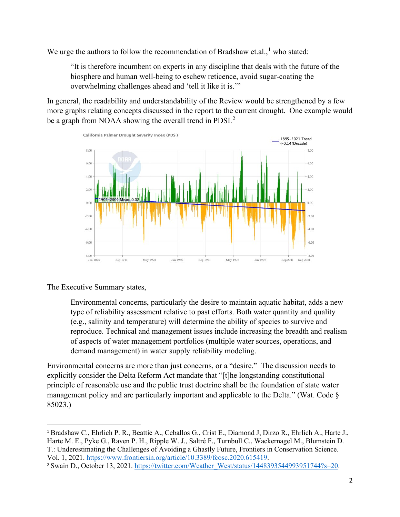We urge the authors to follow the recommendation of Bradshaw et.al.,  $^1$  $^1$  who stated:

"It is therefore incumbent on experts in any discipline that deals with the future of the biosphere and human well-being to eschew reticence, avoid sugar-coating the overwhelming challenges ahead and 'tell it like it is.'"

In general, the readability and understandability of the Review would be strengthened by a few more graphs relating concepts discussed in the report to the current drought. One example would be a graph from NOAA showing the overall trend in PDSI. $^2$  $^2$ 



The Executive Summary states,

Environmental concerns, particularly the desire to maintain aquatic habitat, adds a new type of reliability assessment relative to past efforts. Both water quantity and quality (e.g., salinity and temperature) will determine the ability of species to survive and reproduce. Technical and management issues include increasing the breadth and realism of aspects of water management portfolios (multiple water sources, operations, and demand management) in water supply reliability modeling.

Environmental concerns are more than just concerns, or a "desire." The discussion needs to explicitly consider the Delta Reform Act mandate that "[t]he longstanding constitutional principle of reasonable use and the public trust doctrine shall be the foundation of state water management policy and are particularly important and applicable to the Delta." (Wat. Code § 85023.)

<span id="page-1-0"></span><sup>1</sup> Bradshaw C., Ehrlich P. R., Beattie A., Ceballos G., Crist E., Diamond J, Dirzo R., Ehrlich A., Harte J., Harte M. E., Pyke G., Raven P. H., Ripple W. J., Saltré F., Turnbull C., Wackernagel M., Blumstein D. T.: Underestimating the Challenges of Avoiding a Ghastly Future, Frontiers in Conservation Science. Vol. 1, 2021. [https://www.frontiersin.org/article/10.3389/fcosc.2020.615419.](https://www.frontiersin.org/article/10.3389/fcosc.2020.615419)

<span id="page-1-1"></span><sup>2</sup> Swain D., October 13, 2021. [https://twitter.com/Weather\\_West/status/1448393544993951744?s=20.](https://twitter.com/Weather_West/status/1448393544993951744?s=20)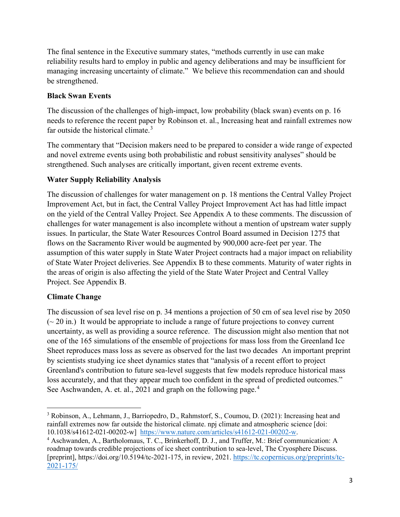The final sentence in the Executive summary states, "methods currently in use can make reliability results hard to employ in public and agency deliberations and may be insufficient for managing increasing uncertainty of climate." We believe this recommendation can and should be strengthened.

## **Black Swan Events**

The discussion of the challenges of high-impact, low probability (black swan) events on p. 16 needs to reference the recent paper by Robinson et. al., Increasing heat and rainfall extremes now far outside the historical climate. $3$ 

The commentary that "Decision makers need to be prepared to consider a wide range of expected and novel extreme events using both probabilistic and robust sensitivity analyses" should be strengthened. Such analyses are critically important, given recent extreme events.

## **Water Supply Reliability Analysis**

The discussion of challenges for water management on p. 18 mentions the Central Valley Project Improvement Act, but in fact, the Central Valley Project Improvement Act has had little impact on the yield of the Central Valley Project. See Appendix A to these comments. The discussion of challenges for water management is also incomplete without a mention of upstream water supply issues. In particular, the State Water Resources Control Board assumed in Decision 1275 that flows on the Sacramento River would be augmented by 900,000 acre-feet per year. The assumption of this water supply in State Water Project contracts had a major impact on reliability of State Water Project deliveries. See Appendix B to these comments. Maturity of water rights in the areas of origin is also affecting the yield of the State Water Project and Central Valley Project. See Appendix B.

# **Climate Change**

The discussion of sea level rise on p. 34 mentions a projection of 50 cm of sea level rise by 2050  $({\sim} 20$  in.) It would be appropriate to include a range of future projections to convey current uncertainty, as well as providing a source reference. The discussion might also mention that not one of the 165 simulations of the ensemble of projections for mass loss from the Greenland Ice Sheet reproduces mass loss as severe as observed for the last two decades An important preprint by scientists studying ice sheet dynamics states that "analysis of a recent effort to project Greenland's contribution to future sea-level suggests that few models reproduce historical mass loss accurately, and that they appear much too confident in the spread of predicted outcomes." See Aschwanden, A. et. al., 2021 and graph on the following page.<sup>[4](#page-2-1)</sup>

<span id="page-2-0"></span><sup>&</sup>lt;sup>3</sup> Robinson, A., Lehmann, J., Barriopedro, D., Rahmstorf, S., Coumou, D. (2021): Increasing heat and rainfall extremes now far outside the historical climate. npj climate and atmospheric science [doi: 10.1038/s41612-021-00202-w] [https://www.nature.com/articles/s41612-021-00202-w.](https://www.nature.com/articles/s41612-021-00202-w) 4

<span id="page-2-1"></span>Aschwanden, A., Bartholomaus, T. C., Brinkerhoff, D. J., and Truffer, M.: Brief communication: A roadmap towards credible projections of ice sheet contribution to sea-level, The Cryosphere Discuss. [preprint], https://doi.org/10.5194/tc-2021-175, in review, 2021. [https://tc.copernicus.org/preprints/tc-](https://tc.copernicus.org/preprints/tc-2021-175/)[2021-175/](https://tc.copernicus.org/preprints/tc-2021-175/)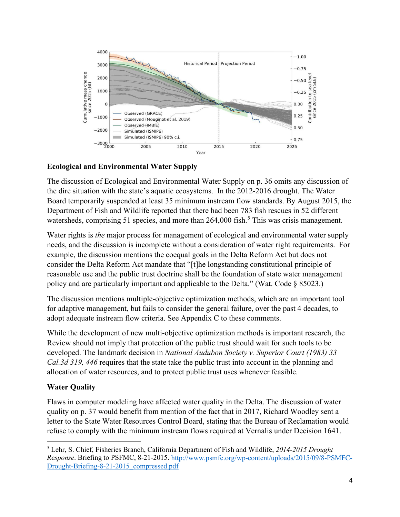

# **Ecological and Environmental Water Supply**

The discussion of Ecological and Environmental Water Supply on p. 36 omits any discussion of the dire situation with the state's aquatic ecosystems. In the 2012-2016 drought. The Water Board temporarily suspended at least 35 minimum instream flow standards. By August 2015, the Department of Fish and Wildlife reported that there had been 783 fish rescues in 52 different watersheds, comprising [5](#page-3-0)1 species, and more than  $264,000$  fish.<sup>5</sup> This was crisis management.

Water rights is *the* major process for management of ecological and environmental water supply needs, and the discussion is incomplete without a consideration of water right requirements. For example, the discussion mentions the coequal goals in the Delta Reform Act but does not consider the Delta Reform Act mandate that "[t]he longstanding constitutional principle of reasonable use and the public trust doctrine shall be the foundation of state water management policy and are particularly important and applicable to the Delta." (Wat. Code § 85023.)

The discussion mentions multiple-objective optimization methods, which are an important tool for adaptive management, but fails to consider the general failure, over the past 4 decades, to adopt adequate instream flow criteria. See Appendix C to these comments.

While the development of new multi-objective optimization methods is important research, the Review should not imply that protection of the public trust should wait for such tools to be developed. The landmark decision in *National Audubon Society v. Superior Court (1983) 33 Cal.3d 319, 446* requires that the state take the public trust into account in the planning and allocation of water resources, and to protect public trust uses whenever feasible.

# **Water Quality**

Flaws in computer modeling have affected water quality in the Delta. The discussion of water quality on p. 37 would benefit from mention of the fact that in 2017, Richard Woodley sent a letter to the State Water Resources Control Board, stating that the Bureau of Reclamation would refuse to comply with the minimum instream flows required at Vernalis under Decision 1641.

<span id="page-3-0"></span><sup>5</sup> Lehr, S. Chief, Fisheries Branch, California Department of Fish and Wildlife, *2014-2015 Drought Response*. Briefing to PSFMC, 8-21-2015. [http://www.psmfc.org/wp-content/uploads/2015/09/8-PSMFC-](http://www.psmfc.org/wp-content/uploads/2015/09/8-PSMFC-Drought-Briefing-8-21-2015_compressed.pdf)[Drought-Briefing-8-21-2015\\_compressed.pdf](http://www.psmfc.org/wp-content/uploads/2015/09/8-PSMFC-Drought-Briefing-8-21-2015_compressed.pdf)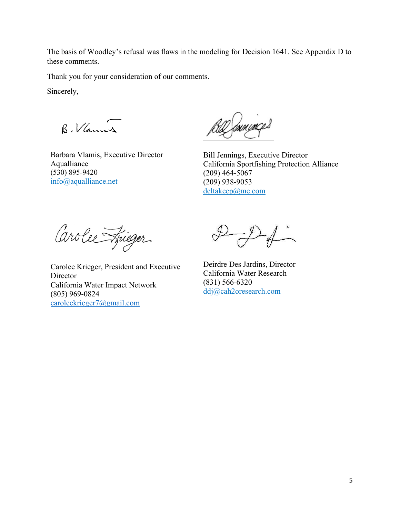The basis of Woodley's refusal was flaws in the modeling for Decision 1641. See Appendix D to these comments.

Thank you for your consideration of our comments.

Sincerely,

B. Vlannes

Barbara Vlamis, Executive Director Aqualliance (530) 895-9420 [info@aqualliance.net](https://d.docs.live.net/9218a4dccbb9e5aa/Documents/My%20drafts/info@aqualliance.net)

U munçes

Bill Jennings, Executive Director California Sportfishing Protection Alliance (209) 464-5067 (209) 938-9053 [deltakeep@me.com](mailto:deltakeep@me.com)

Carolee Frieger

Carolee Krieger, President and Executive **Director** California Water Impact Network (805) 969-0824 [caroleekrieger7@gmail.com](mailto:caroleekrieger7@gmail.com)

Deirdre Des Jardins, Director California Water Research (831) 566-6320 [ddj@cah2oresearch.com](mailto:ddj@cah2oresearch.com)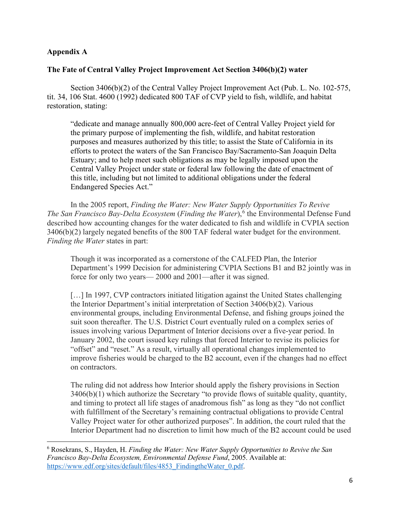### **Appendix A**

#### **The Fate of Central Valley Project Improvement Act Section 3406(b)(2) water**

Section 3406(b)(2) of the Central Valley Project Improvement Act (Pub. L. No. 102-575, tit. 34, 106 Stat. 4600 (1992) dedicated 800 TAF of CVP yield to fish, wildlife, and habitat restoration, stating:

"dedicate and manage annually 800,000 acre-feet of Central Valley Project yield for the primary purpose of implementing the fish, wildlife, and habitat restoration purposes and measures authorized by this title; to assist the State of California in its efforts to protect the waters of the San Francisco Bay/Sacramento-San Joaquin Delta Estuary; and to help meet such obligations as may be legally imposed upon the Central Valley Project under state or federal law following the date of enactment of this title, including but not limited to additional obligations under the federal Endangered Species Act."

In the 2005 report, *Finding the Water: New Water Supply Opportunities To Revive*  The San Francisco Bay-Delta Ecosystem (Finding the Water),<sup>[6](#page-5-0)</sup> the Environmental Defense Fund described how accounting changes for the water dedicated to fish and wildlife in CVPIA section 3406(b)(2) largely negated benefits of the 800 TAF federal water budget for the environment. *Finding the Water* states in part:

Though it was incorporated as a cornerstone of the CALFED Plan, the Interior Department's 1999 Decision for administering CVPIA Sections B1 and B2 jointly was in force for only two years— 2000 and 2001—after it was signed.

[...] In 1997, CVP contractors initiated litigation against the United States challenging the Interior Department's initial interpretation of Section 3406(b)(2). Various environmental groups, including Environmental Defense, and fishing groups joined the suit soon thereafter. The U.S. District Court eventually ruled on a complex series of issues involving various Department of Interior decisions over a five-year period. In January 2002, the court issued key rulings that forced Interior to revise its policies for "offset" and "reset." As a result, virtually all operational changes implemented to improve fisheries would be charged to the B2 account, even if the changes had no effect on contractors.

The ruling did not address how Interior should apply the fishery provisions in Section 3406(b)(1) which authorize the Secretary "to provide flows of suitable quality, quantity, and timing to protect all life stages of anadromous fish" as long as they "do not conflict with fulfillment of the Secretary's remaining contractual obligations to provide Central Valley Project water for other authorized purposes". In addition, the court ruled that the Interior Department had no discretion to limit how much of the B2 account could be used

<span id="page-5-0"></span><sup>6</sup> Rosekrans, S., Hayden, H. *Finding the Water: New Water Supply Opportunities to Revive the San Francisco Bay-Delta Ecosystem, Environmental Defense Fund*, 2005. Available at: https://www.edf.org/sites/default/files/4853\_FindingtheWater\_0.pdf.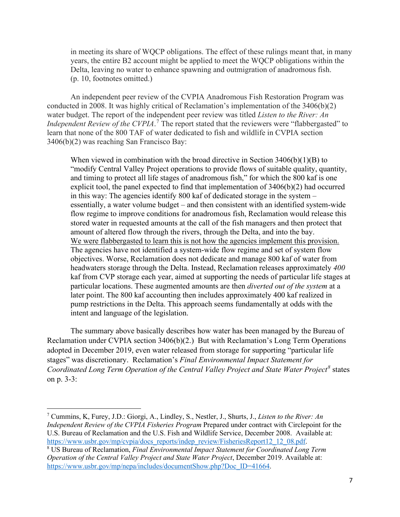in meeting its share of WQCP obligations. The effect of these rulings meant that, in many years, the entire B2 account might be applied to meet the WQCP obligations within the Delta, leaving no water to enhance spawning and outmigration of anadromous fish. (p. 10, footnotes omitted.)

An independent peer review of the CVPIA Anadromous Fish Restoration Program was conducted in 2008. It was highly critical of Reclamation's implementation of the 3406(b)(2) water budget. The report of the independent peer review was titled *Listen to the River: An Independent Review of the CVPIA*. [7](#page-6-0) The report stated that the reviewers were "flabbergasted" to learn that none of the 800 TAF of water dedicated to fish and wildlife in CVPIA section 3406(b)(2) was reaching San Francisco Bay:

When viewed in combination with the broad directive in Section  $3406(b)(1)(B)$  to "modify Central Valley Project operations to provide flows of suitable quality, quantity, and timing to protect all life stages of anadromous fish," for which the 800 kaf is one explicit tool, the panel expected to find that implementation of 3406(b)(2) had occurred in this way: The agencies identify 800 kaf of dedicated storage in the system – essentially, a water volume budget – and then consistent with an identified system-wide flow regime to improve conditions for anadromous fish, Reclamation would release this stored water in requested amounts at the call of the fish managers and then protect that amount of altered flow through the rivers, through the Delta, and into the bay. We were flabbergasted to learn this is not how the agencies implement this provision. The agencies have not identified a system-wide flow regime and set of system flow objectives. Worse, Reclamation does not dedicate and manage 800 kaf of water from headwaters storage through the Delta. Instead, Reclamation releases approximately *400*  kaf from CVP storage each year, aimed at supporting the needs of particular life stages at particular locations. These augmented amounts are then *diverted out of the system* at a later point. The 800 kaf accounting then includes approximately 400 kaf realized in pump restrictions in the Delta. This approach seems fundamentally at odds with the intent and language of the legislation.

The summary above basically describes how water has been managed by the Bureau of Reclamation under CVPIA section 3406(b)(2.) But with Reclamation's Long Term Operations adopted in December 2019, even water released from storage for supporting "particular life stages" was discretionary. Reclamation's *Final Environmental Impact Statement for Coordinated Long Term Operation of the Central Valley Project and State Water Project[8](#page-6-1)* states on p. 3-3:

<span id="page-6-0"></span><sup>7</sup> Cummins, K, Furey, J.D.: Giorgi, A., Lindley, S., Nestler, J., Shurts, J., *Listen to the River: An Independent Review of the CVPIA Fisheries Program* Prepared under contract with Circlepoint for the U.S. Bureau of Reclamation and the U.S. Fish and Wildlife Service, December 2008. Available at: [https://www.usbr.gov/mp/cvpia/docs\\_reports/indep\\_review/FisheriesReport12\\_12\\_08.pdf.](https://www.usbr.gov/mp/cvpia/docs_reports/indep_review/FisheriesReport12_12_08.pdf)

<span id="page-6-1"></span>US Bureau of Reclamation, *Final Environmental Impact Statement for Coordinated Long Term Operation of the Central Valley Project and State Water Project*, December 2019. Available at: [https://www.usbr.gov/mp/nepa/includes/documentShow.php?Doc\\_ID=41664.](https://www.usbr.gov/mp/nepa/includes/documentShow.php?Doc_ID=41664)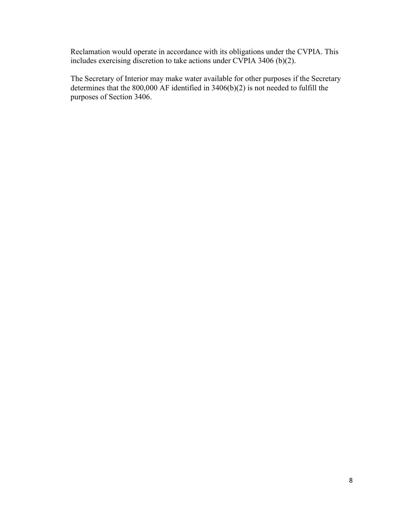Reclamation would operate in accordance with its obligations under the CVPIA. This includes exercising discretion to take actions under CVPIA 3406 (b)(2).

The Secretary of Interior may make water available for other purposes if the Secretary determines that the 800,000 AF identified in 3406(b)(2) is not needed to fulfill the purposes of Section 3406.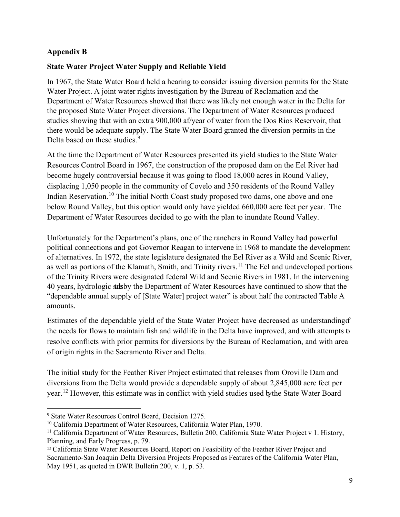## **Appendix B**

## **State Water Project Water Supply and Reliable Yield**

In 1967, the State Water Board held a hearing to consider issuing diversion permits for the State Water Project. A joint water rights investigation by the Bureau of Reclamation and the Department of Water Resources showed that there was likely not enough water in the Delta for the proposed State Water Project diversions. The Department of Water Resources produced studies showing that with an extra 900,000 af/year of water from the Dos Rios Reservoir, that there would be adequate supply. The State Water Board granted the diversion permits in the Delta based on these studies.<sup>[9](#page-8-0)</sup>

At the time the Department of Water Resources presented its yield studies to the State Water Resources Control Board in 1967, the construction of the proposed dam on the Eel River had become hugely controversial because it was going to flood 18,000 acres in Round Valley, displacing 1,050 people in the community of Covelo and 350 residents of the Round Valley Indian Reservation.<sup>10</sup> The initial North Coast study proposed two dams, one above and one below Round Valley, but this option would only have yielded 660,000 acre feet per year. The Department of Water Resources decided to go with the plan to inundate Round Valley.

Unfortunately for the Department's plans, one of the ranchers in Round Valley had powerful political connections and got Governor Reagan to intervene in 1968 to mandate the development of alternatives. In 1972, the state legislature designated the Eel River as a Wild and Scenic River, as well as portions of the Klamath, Smith, and Trinity rivers.<sup>[11](#page-8-2)</sup> The Eel and undeveloped portions of the Trinity Rivers were designated federal Wild and Scenic Rivers in 1981. In the intervening 40 years, hydrologic stiss by the Department of Water Resources have continued to show that the "dependable annual supply of [State Water] project water" is about half the contracted Table A amounts.

Estimates of the dependable yield of the State Water Project have decreased as understanding of the needs for flows to maintain fish and wildlife in the Delta have improved, and with attempts to resolve conflicts with prior permits for diversions by the Bureau of Reclamation, and with area of origin rights in the Sacramento River and Delta.

The initial study for the Feather River Project estimated that releases from Oroville Dam and diversions from the Delta would provide a dependable supply of about 2,845,000 acre feet per year.[12](#page-8-3) However, this estimate was in conflict with yield studies used bythe State Water Board

<span id="page-8-0"></span><sup>9</sup> State Water Resources Control Board, Decision 1275.

<span id="page-8-1"></span><sup>&</sup>lt;sup>10</sup> California Department of Water Resources, California Water Plan, 1970.

<span id="page-8-2"></span><sup>&</sup>lt;sup>11</sup> California Department of Water Resources, Bulletin 200, California State Water Project v 1. History, Planning, and Early Progress, p. 79.

<span id="page-8-3"></span><sup>12</sup> California State Water Resources Board, Report on Feasibility of the Feather River Project and Sacramento‐San Joaquin Delta Diversion Projects Proposed as Features of the California Water Plan, May 1951, as quoted in DWR Bulletin 200, v. 1, p. 53.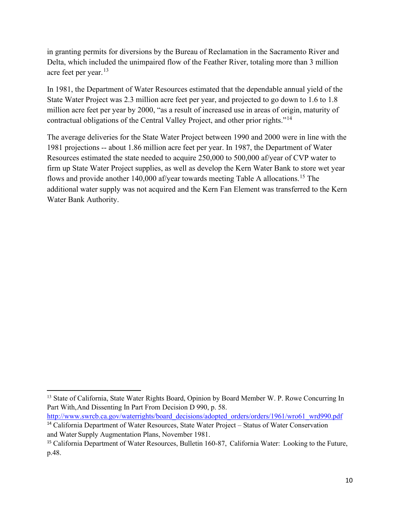in granting permits for diversions by the Bureau of Reclamation in the Sacramento River and Delta, which included the unimpaired flow of the Feather River, totaling more than 3 million acre feet per year.<sup>[13](#page-9-0)</sup>

In 1981, the Department of Water Resources estimated that the dependable annual yield of the State Water Project was 2.3 million acre feet per year, and projected to go down to 1.6 to 1.8 million acre feet per year by 2000, "as a result of increased use in areas of origin, maturity of contractual obligations of the Central Valley Project, and other prior rights."[14](#page-9-1)

The average deliveries for the State Water Project between 1990 and 2000 were in line with the 1981 projections -- about 1.86 million acre feet per year. In 1987, the Department of Water Resources estimated the state needed to acquire 250,000 to 500,000 af/year of CVP water to firm up State Water Project supplies, as well as develop the Kern Water Bank to store wet year flows and provide another 140,000 af/year towards meeting Table A allocations.<sup>[15](#page-9-2)</sup> The additional water supply was not acquired and the Kern Fan Element was transferred to the Kern Water Bank Authority.

<span id="page-9-1"></span>[http://www.swrcb.ca.gov/waterrights/board\\_decisions/adopted\\_orders/orders/1961/wro61\\_wrd990.pdf](http://www.swrcb.ca.gov/waterrights/board_decisions/adopted_orders/orders/1961/wro61_wrd990.pdf) <sup>14</sup> California Department of Water Resources, State Water Project – Status of Water Conservation

<span id="page-9-0"></span><sup>&</sup>lt;sup>13</sup> State of California, State Water Rights Board, Opinion by Board Member W. P. Rowe Concurring In Part With, And Dissenting In Part From Decision D 990, p. 58.

and Water Supply Augmentation Plans, November 1981.

<span id="page-9-2"></span><sup>&</sup>lt;sup>15</sup> California Department of Water Resources, Bulletin 160-87, California Water: Looking to the Future, p.48.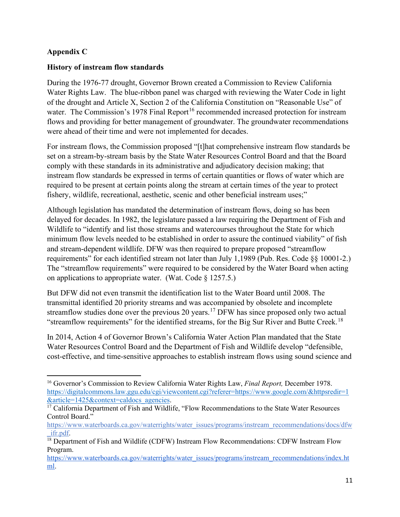## **Appendix C**

## **History of instream flow standards**

During the 1976-77 drought, Governor Brown created a Commission to Review California Water Rights Law. The blue-ribbon panel was charged with reviewing the Water Code in light of the drought and Article X, Section 2 of the California Constitution on "Reasonable Use" of water. The Commission's 1978 Final Report<sup>16</sup> recommended increased protection for instream flows and providing for better management of groundwater. The groundwater recommendations were ahead of their time and were not implemented for decades.

For instream flows, the Commission proposed "[t]hat comprehensive instream flow standards be set on a stream-by-stream basis by the State Water Resources Control Board and that the Board comply with these standards in its administrative and adjudicatory decision making; that instream flow standards be expressed in terms of certain quantities or flows of water which are required to be present at certain points along the stream at certain times of the year to protect fishery, wildlife, recreational, aesthetic, scenic and other beneficial instream uses;"

Although legislation has mandated the determination of instream flows, doing so has been delayed for decades. In 1982, the legislature passed a law requiring the Department of Fish and Wildlife to "identify and list those streams and watercourses throughout the State for which minimum flow levels needed to be established in order to assure the continued viability" of fish and stream-dependent wildlife. DFW was then required to prepare proposed "streamflow requirements" for each identified stream not later than July 1,1989 (Pub. Res. Code §§ 10001-2.) The "streamflow requirements" were required to be considered by the Water Board when acting on applications to appropriate water. (Wat. Code § 1257.5.)

But DFW did not even transmit the identification list to the Water Board until 2008. The transmittal identified 20 priority streams and was accompanied by obsolete and incomplete streamflow studies done over the previous 20 years.<sup>17</sup> DFW has since proposed only two actual "streamflow requirements" for the identified streams, for the Big Sur River and Butte Creek.<sup>[18](#page-10-2)</sup>

In 2014, Action 4 of Governor Brown's California Water Action Plan mandated that the State Water Resources Control Board and the Department of Fish and Wildlife develop "defensible, cost-effective, and time-sensitive approaches to establish instream flows using sound science and

<span id="page-10-0"></span><sup>16</sup> Governor's Commission to Review California Water Rights Law, *Final Report,* December 1978. [https://digitalcommons.law.ggu.edu/cgi/viewcontent.cgi?referer=https://www.google.com/&httpsredir=1](https://digitalcommons.law.ggu.edu/cgi/viewcontent.cgi?referer=https://www.google.com/&httpsredir=1&article=1425&context=caldocs_agencies)<br>&article=1425&context=caldocs agencies.

<span id="page-10-1"></span><sup>&</sup>lt;sup>17</sup> California Department of Fish and Wildlife, "Flow Recommendations to the State Water Resources Control Board."

[https://www.waterboards.ca.gov/waterrights/water\\_issues/programs/instream\\_recommendations/docs/dfw](https://www.waterboards.ca.gov/waterrights/water_issues/programs/instream_recommendations/docs/dfw_ifr.pdf)

<span id="page-10-2"></span> $\frac{ifr.pdf}{18}$  Department of Fish and Wildlife (CDFW) Instream Flow Recommendations: CDFW Instream Flow Program.

[https://www.waterboards.ca.gov/waterrights/water\\_issues/programs/instream\\_recommendations/index.ht](https://www.waterboards.ca.gov/waterrights/water_issues/programs/instream_recommendations/index.html) [ml.](https://www.waterboards.ca.gov/waterrights/water_issues/programs/instream_recommendations/index.html)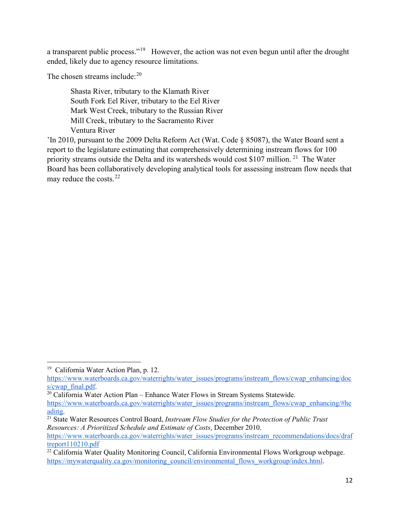a transparent public process."[19](#page-11-0)However, the action was not even begun until after the drought ended, likely due to agency resource limitations.

The chosen streams include: $20$ 

Shasta River, tributary to the Klamath River South Fork Eel River, tributary to the Eel River Mark West Creek, tributary to the Russian River Mill Creek, tributary to the Sacramento River Ventura River

'In 2010, pursuant to the 2009 Delta Reform Act (Wat. Code § 85087), the Water Board sent a report to the legislature estimating that comprehensively determining instream flows for 100 priority streams outside the Delta and its watersheds would cost \$107 million.<sup>21</sup> The Water Board has been collaboratively developing analytical tools for assessing instream flow needs that may reduce the costs.[22](#page-11-3)

<span id="page-11-1"></span>[https://www.waterboards.ca.gov/waterrights/water\\_issues/programs/instream\\_flows/cwap\\_enhancing/#he](https://www.waterboards.ca.gov/waterrights/water_issues/programs/instream_flows/cwap_enhancing/#heading) [ading.](https://www.waterboards.ca.gov/waterrights/water_issues/programs/instream_flows/cwap_enhancing/#heading)

<span id="page-11-0"></span><sup>&</sup>lt;sup>19</sup> California Water Action Plan, p. 12.

[https://www.waterboards.ca.gov/waterrights/water\\_issues/programs/instream\\_flows/cwap\\_enhancing/doc](https://www.waterboards.ca.gov/waterrights/water_issues/programs/instream_flows/cwap_enhancing/docs/cwap_final.pdf)  $\frac{s/cwap\_final.pdf}{20}$ <br><sup>20</sup> California Water Action Plan – Enhance Water Flows in Stream Systems Statewide.

<span id="page-11-2"></span><sup>&</sup>lt;sup>21</sup> State Water Resources Control Board, *Instream Flow Studies for the Protection of Public Trust Resources: A Prioritized Schedule and Estimate of Costs*, December 2010. [https://www.waterboards.ca.gov/waterrights/water\\_issues/programs/instream\\_recommendations/docs/draf](https://www.waterboards.ca.gov/waterrights/water_issues/programs/instream_recommendations/docs/draftreport110210.pdf) [treport110210.pdf](https://www.waterboards.ca.gov/waterrights/water_issues/programs/instream_recommendations/docs/draftreport110210.pdf)

<span id="page-11-3"></span><sup>&</sup>lt;sup>22</sup> California Water Quality Monitoring Council, California Environmental Flows Workgroup webpage. [https://mywaterquality.ca.gov/monitoring\\_council/environmental\\_flows\\_workgroup/index.html](https://mywaterquality.ca.gov/monitoring_council/environmental_flows_workgroup/index.html).